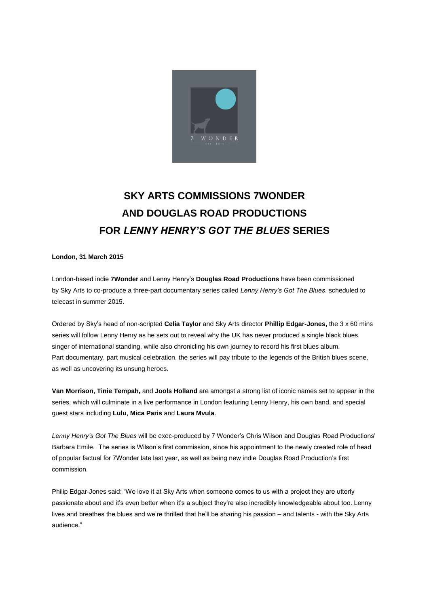

## **SKY ARTS COMMISSIONS 7WONDER AND DOUGLAS ROAD PRODUCTIONS FOR** *LENNY HENRY'S GOT THE BLUES* **SERIES**

**London, 31 March 2015**

London-based indie **7Wonder** and Lenny Henry's **Douglas Road Productions** have been commissioned by Sky Arts to co-produce a three-part documentary series called *Lenny Henry's Got The Blues*, scheduled to telecast in summer 2015.

Ordered by Sky's head of non-scripted **Celia Taylor** and Sky Arts director **Phillip Edgar-Jones,** the 3 x 60 mins series will follow Lenny Henry as he sets out to reveal why the UK has never produced a single black blues singer of international standing, while also chronicling his own journey to record his first blues album. Part documentary, part musical celebration, the series will pay tribute to the legends of the British blues scene, as well as uncovering its unsung heroes.

**Van Morrison, Tinie Tempah,** and **Jools Holland** are amongst a strong list of iconic names set to appear in the series, which will culminate in a live performance in London featuring Lenny Henry, his own band, and special guest stars including **Lulu**, **Mica Paris** and **Laura Mvula**.

*Lenny Henry's Got The Blues* will be exec-produced by 7 Wonder's Chris Wilson and Douglas Road Productions' Barbara Emile. The series is Wilson's first commission, since his appointment to the newly created role of head of popular factual for 7Wonder late last year, as well as being new indie Douglas Road Production's first commission.

Philip Edgar-Jones said: "We love it at Sky Arts when someone comes to us with a project they are utterly passionate about and it's even better when it's a subject they're also incredibly knowledgeable about too. Lenny lives and breathes the blues and we're thrilled that he'll be sharing his passion – and talents - with the Sky Arts audience."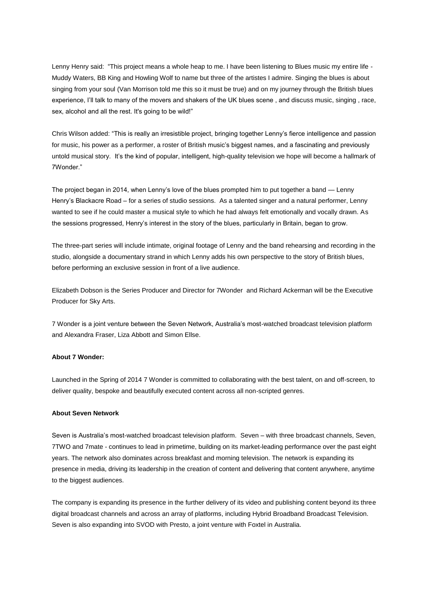Lenny Henry said: "This project means a whole heap to me. I have been listening to Blues music my entire life - Muddy Waters, BB King and Howling Wolf to name but three of the artistes I admire. Singing the blues is about singing from your soul (Van Morrison told me this so it must be true) and on my journey through the British blues experience, I'll talk to many of the movers and shakers of the UK blues scene , and discuss music, singing , race, sex, alcohol and all the rest. It's going to be wild!"

Chris Wilson added: "This is really an irresistible project, bringing together Lenny's fierce intelligence and passion for music, his power as a performer, a roster of British music's biggest names, and a fascinating and previously untold musical story. It's the kind of popular, intelligent, high-quality television we hope will become a hallmark of 7Wonder."

The project began in 2014, when Lenny's love of the blues prompted him to put together a band — Lenny Henry's Blackacre Road – for a series of studio sessions. As a talented singer and a natural performer, Lenny wanted to see if he could master a musical style to which he had always felt emotionally and vocally drawn. As the sessions progressed, Henry's interest in the story of the blues, particularly in Britain, began to grow.

The three-part series will include intimate, original footage of Lenny and the band rehearsing and recording in the studio, alongside a documentary strand in which Lenny adds his own perspective to the story of British blues, before performing an exclusive session in front of a live audience.

Elizabeth Dobson is the Series Producer and Director for 7Wonder and Richard Ackerman will be the Executive Producer for Sky Arts.

7 Wonder is a joint venture between the Seven Network, Australia's most-watched broadcast television platform and Alexandra Fraser, Liza Abbott and Simon Ellse.

## **About 7 Wonder:**

Launched in the Spring of 2014 7 Wonder is committed to collaborating with the best talent, on and off-screen, to deliver quality, bespoke and beautifully executed content across all non-scripted genres.

## **About Seven Network**

Seven is Australia's most-watched broadcast television platform. Seven – with three broadcast channels, Seven, 7TWO and 7mate - continues to lead in primetime, building on its market-leading performance over the past eight years. The network also dominates across breakfast and morning television. The network is expanding its presence in media, driving its leadership in the creation of content and delivering that content anywhere, anytime to the biggest audiences.

The company is expanding its presence in the further delivery of its video and publishing content beyond its three digital broadcast channels and across an array of platforms, including Hybrid Broadband Broadcast Television. Seven is also expanding into SVOD with Presto, a joint venture with Foxtel in Australia.